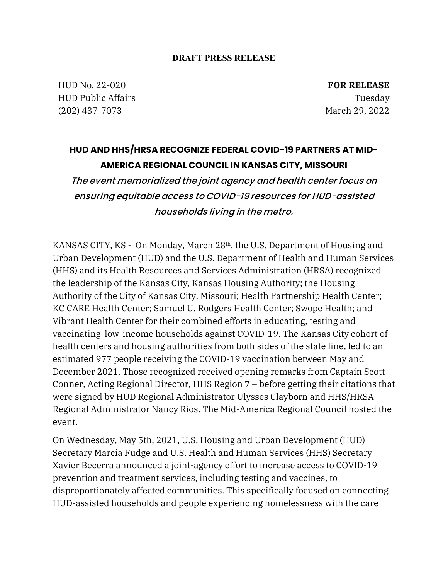## **DRAFT PRESS RELEASE**

HUD No. 22-020 HUD Public Affairs (202) 437-7073

**FOR RELEASE** Tuesday March 29, 2022

## **HUD AND HHS/HRSA RECOGNIZE FEDERAL COVID-19 PARTNERS AT MID-AMERICA REGIONAL COUNCIL IN KANSAS CITY, MISSOURI**

The event memorialized the joint agency and health center focus on ensuring equitable access to COVID-19 resources for HUD-assisted households living in the metro.

KANSAS CITY, KS - On Monday, March 28<sup>th</sup>, the U.S. Department of Housing and Urban Development (HUD) and the U.S. Department of Health and Human Services (HHS) and its Health Resources and Services Administration (HRSA) recognized the leadership of the Kansas City, Kansas Housing Authority; the Housing Authority of the City of Kansas City, Missouri; Health Partnership Health Center; KC CARE Health Center; Samuel U. Rodgers Health Center; Swope Health; and Vibrant Health Center for their combined efforts in educating, testing and vaccinating low-income households against COVID-19. The Kansas City cohort of health centers and housing authorities from both sides of the state line, led to an estimated 977 people receiving the COVID-19 vaccination between May and December 2021. Those recognized received opening remarks from Captain Scott Conner, Acting Regional Director, HHS Region 7 – before getting their citations that were signed by HUD Regional Administrator Ulysses Clayborn and HHS/HRSA Regional Administrator Nancy Rios. The Mid-America Regional Council hosted the event.

On Wednesday, May 5th, 2021, U.S. Housing and Urban Development (HUD) Secretary Marcia Fudge and U.S. Health and Human Services (HHS) Secretary Xavier Becerra announced a joint-agency effort to increase access to COVID-19 prevention and treatment services, including testing and vaccines, to disproportionately affected communities. This specifically focused on connecting HUD-assisted households and people experiencing homelessness with the care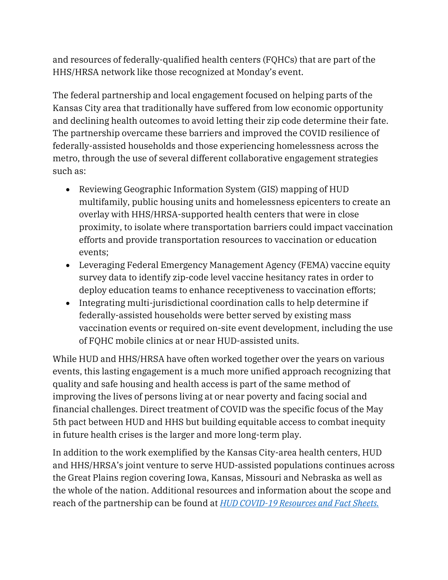and resources of federally-qualified health centers (FQHCs) that are part of the HHS/HRSA network like those recognized at Monday's event.

The federal partnership and local engagement focused on helping parts of the Kansas City area that traditionally have suffered from low economic opportunity and declining health outcomes to avoid letting their zip code determine their fate. The partnership overcame these barriers and improved the COVID resilience of federally-assisted households and those experiencing homelessness across the metro, through the use of several different collaborative engagement strategies such as:

- Reviewing Geographic Information System (GIS) mapping of HUD multifamily, public housing units and homelessness epicenters to create an overlay with HHS/HRSA-supported health centers that were in close proximity, to isolate where transportation barriers could impact vaccination efforts and provide transportation resources to vaccination or education events;
- Leveraging Federal Emergency Management Agency (FEMA) vaccine equity survey data to identify zip-code level vaccine hesitancy rates in order to deploy education teams to enhance receptiveness to vaccination efforts;
- Integrating multi-jurisdictional coordination calls to help determine if federally-assisted households were better served by existing mass vaccination events or required on-site event development, including the use of FQHC mobile clinics at or near HUD-assisted units.

While HUD and HHS/HRSA have often worked together over the years on various events, this lasting engagement is a much more unified approach recognizing that quality and safe housing and health access is part of the same method of improving the lives of persons living at or near poverty and facing social and financial challenges. Direct treatment of COVID was the specific focus of the May 5th pact between HUD and HHS but building equitable access to combat inequity in future health crises is the larger and more long-term play.

In addition to the work exemplified by the Kansas City-area health centers, HUD and HHS/HRSA's joint venture to serve HUD-assisted populations continues across the Great Plains region covering Iowa, Kansas, Missouri and Nebraska as well as the whole of the nation. Additional resources and information about the scope and reach of the partnership can be found at *[HUD COVID-19 Resources and Fact Sheets.](https://www.hud.gov/coronavirus)*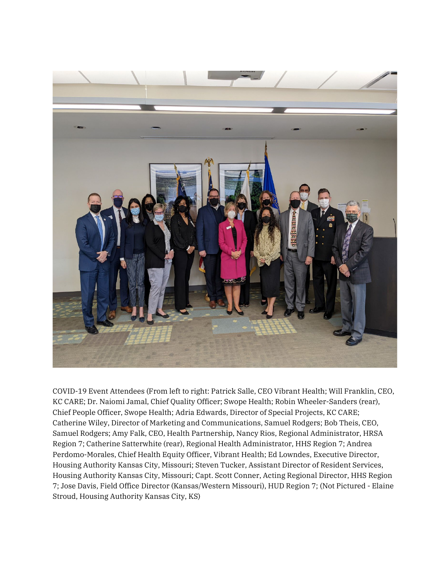

COVID-19 Event Attendees (From left to right: Patrick Salle, CEO Vibrant Health; Will Franklin, CEO, KC CARE; Dr. Naiomi Jamal, Chief Quality Officer; Swope Health; Robin Wheeler-Sanders (rear), Chief People Officer, Swope Health; Adria Edwards, Director of Special Projects, KC CARE; Catherine Wiley, Director of Marketing and Communications, Samuel Rodgers; Bob Theis, CEO, Samuel Rodgers; Amy Falk, CEO, Health Partnership, Nancy Rios, Regional Administrator, HRSA Region 7; Catherine Satterwhite (rear), Regional Health Administrator, HHS Region 7; Andrea Perdomo-Morales, Chief Health Equity Officer, Vibrant Health; Ed Lowndes, Executive Director, Housing Authority Kansas City, Missouri; Steven Tucker, Assistant Director of Resident Services, Housing Authority Kansas City, Missouri; Capt. Scott Conner, Acting Regional Director, HHS Region 7; Jose Davis, Field Office Director (Kansas/Western Missouri), HUD Region 7; (Not Pictured - Elaine Stroud, Housing Authority Kansas City, KS)